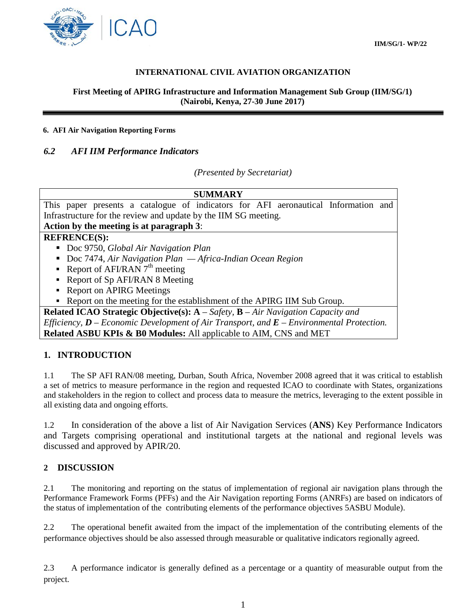

# **INTERNATIONAL CIVIL AVIATION ORGANIZATION**

#### **First Meeting of APIRG Infrastructure and Information Management Sub Group (IIM/SG/1) (Nairobi, Kenya, 27-30 June 2017)**

#### **6. AFI Air Navigation Reporting Forms**

### *6.2 AFI IIM Performance Indicators*

*(Presented by Secretariat)*

| <b>SUMMARY</b>                                                                                    |
|---------------------------------------------------------------------------------------------------|
|                                                                                                   |
| This paper presents a catalogue of indicators for AFI aeronautical Information and                |
| Infrastructure for the review and update by the IIM SG meeting.                                   |
| Action by the meeting is at paragraph 3:                                                          |
| <b>REFRENCE(S):</b>                                                                               |
| Doc 9750, Global Air Navigation Plan                                                              |
| Doc 7474, Air Navigation Plan $-A$ frica-Indian Ocean Region                                      |
| Report of AFI/RAN $7th$ meeting                                                                   |
| • Report of Sp AFI/RAN 8 Meeting                                                                  |
| • Report on APIRG Meetings                                                                        |
| Report on the meeting for the establishment of the APIRG IIM Sub Group.                           |
| <b>Related ICAO Strategic Objective(s):</b> $A - Safety$ , $B - Air\,Navigation\, Capacity\, and$ |
| Efficiency, $D$ – Economic Development of Air Transport, and $E$ – Environmental Protection.      |

**Related ASBU KPIs & B0 Modules:** All applicable to AIM, CNS and MET

# **1. INTRODUCTION**

1.1 The SP AFI RAN/08 meeting, Durban, South Africa, November 2008 agreed that it was critical to establish a set of metrics to measure performance in the region and requested ICAO to coordinate with States, organizations and stakeholders in the region to collect and process data to measure the metrics, leveraging to the extent possible in all existing data and ongoing efforts.

1.2 In consideration of the above a list of Air Navigation Services (**ANS**) Key Performance Indicators and Targets comprising operational and institutional targets at the national and regional levels was discussed and approved by APIR/20.

# **2 DISCUSSION**

2.1 The monitoring and reporting on the status of implementation of regional air navigation plans through the Performance Framework Forms (PFFs) and the Air Navigation reporting Forms (ANRFs) are based on indicators of the status of implementation of the contributing elements of the performance objectives 5ASBU Module).

2.2 The operational benefit awaited from the impact of the implementation of the contributing elements of the performance objectives should be also assessed through measurable or qualitative indicators regionally agreed.

2.3 A performance indicator is generally defined as a percentage or a quantity of measurable output from the project.